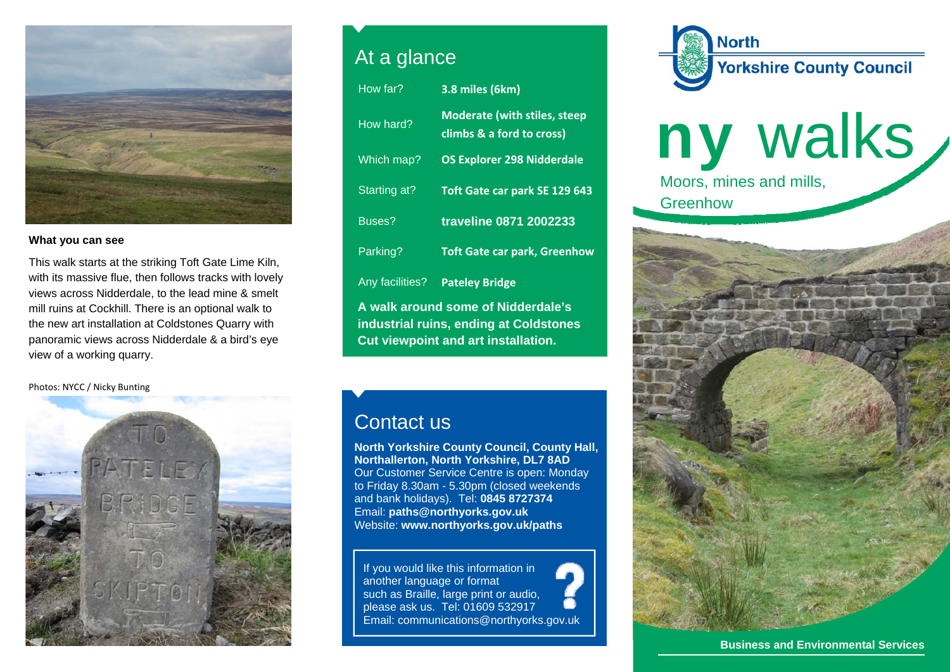

## **What you can see**

This walk starts at the striking Toft Gate Lime Kiln, with its massive flue, then follows tracks with lovely views across Nidderdale, to the lead mine & smelt mill ruins at Cockhill. There is an optional walk to the new art installation at Coldstones Quarry with panoramic views across Nidderdale & a bird's eye view of a working quarry.

Photos: NYCC / Nicky Bunting



## At a glance

| How far?                                                                                                                   | 3.8 miles (6km)                                                  |
|----------------------------------------------------------------------------------------------------------------------------|------------------------------------------------------------------|
| How hard?                                                                                                                  | <b>Moderate (with stiles, steep</b><br>climbs & a ford to cross) |
| Which map?                                                                                                                 | <b>OS Explorer 298 Nidderdale</b>                                |
| Starting at?                                                                                                               | Toft Gate car park SE 129 643                                    |
| Buses?                                                                                                                     | traveline 0871 2002233                                           |
| Parking?                                                                                                                   | <b>Toft Gate car park, Greenhow</b>                              |
| Any facilities?                                                                                                            | <b>Pateley Bridge</b>                                            |
| A walk around some of Nidderdale's<br>industrial ruins, ending at Coldstones<br><b>Cut viewpoint and art installation.</b> |                                                                  |

## Contact us

**North Yorkshire County Council, County Hall, Northallerton, North Yorkshire, DL7 8AD** Our Customer Service Centre is open: Monday to Friday 8.30am - 5.30pm (closed weekends and bank holidays). Tel: **0845 8727374** Email: **paths@northyorks.gov.uk**  Website: **www.northyorks.gov.uk/paths**

If you would like this information in another language or format such as Braille, large print or audio, please ask us. Tel: 01609 532917 Email: communications@northyorks.gov.uk



ny walks Moors, mines and mills, **Greenhow** 



**Business and Environmental Services**